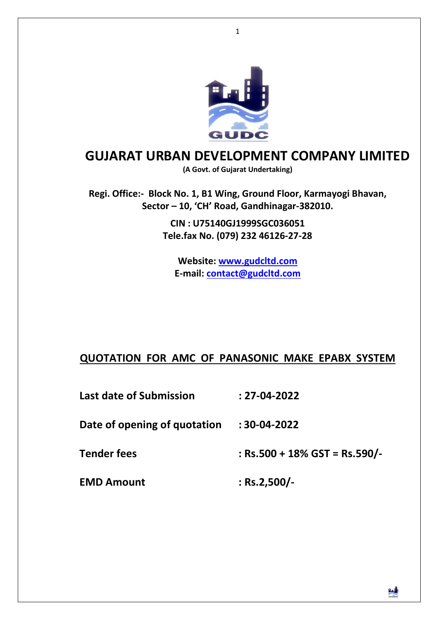

# **GUJARAT URBAN DEVELOPMENT COMPANY LIMITED**

**(A Govt. of Gujarat Undertaking)** 

**Regi. Office:- Block No. 1, B1 Wing, Ground Floor, Karmayogi Bhavan, Sector – 10, 'CH' Road, Gandhinagar-382010.** 

> **CIN : U75140GJ1999SGC036051 Tele.fax No. (079) 232 46126-27-28**

**Website: www.gudcltd.com E-mail: contact@gudcltd.com**

### **QUOTATION FOR AMC OF PANASONIC MAKE EPABX SYSTEM**

**Last date of Submission : 27-04-2022** 

**Date of opening of quotation : 30-04-2022**

**Tender fees : Rs.500 + 18% GST = Rs.590/-** 

**EMD Amount : Rs.2,500/-**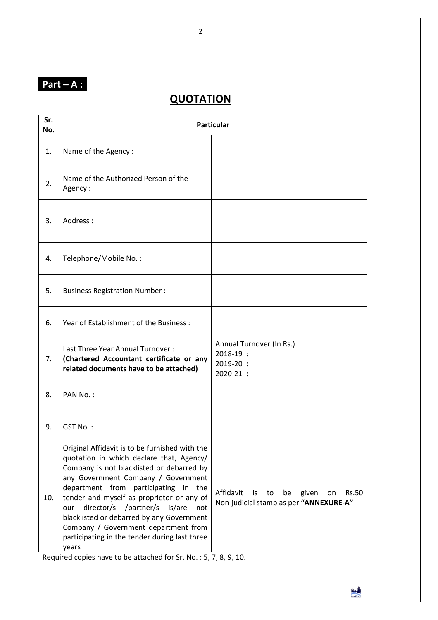# **Part – A :**

## **QUOTATION**

| Sr.<br>No. | <b>Particular</b>                                                                                                                                                                                                                                                                                                                                                                                                                                                      |                                                                                                      |  |
|------------|------------------------------------------------------------------------------------------------------------------------------------------------------------------------------------------------------------------------------------------------------------------------------------------------------------------------------------------------------------------------------------------------------------------------------------------------------------------------|------------------------------------------------------------------------------------------------------|--|
| 1.         | Name of the Agency:                                                                                                                                                                                                                                                                                                                                                                                                                                                    |                                                                                                      |  |
| 2.         | Name of the Authorized Person of the<br>Agency:                                                                                                                                                                                                                                                                                                                                                                                                                        |                                                                                                      |  |
| 3.         | Address:                                                                                                                                                                                                                                                                                                                                                                                                                                                               |                                                                                                      |  |
| 4.         | Telephone/Mobile No.:                                                                                                                                                                                                                                                                                                                                                                                                                                                  |                                                                                                      |  |
| 5.         | <b>Business Registration Number:</b>                                                                                                                                                                                                                                                                                                                                                                                                                                   |                                                                                                      |  |
| 6.         | Year of Establishment of the Business:                                                                                                                                                                                                                                                                                                                                                                                                                                 |                                                                                                      |  |
| 7.         | Last Three Year Annual Turnover:<br>(Chartered Accountant certificate or any<br>related documents have to be attached)                                                                                                                                                                                                                                                                                                                                                 | Annual Turnover (In Rs.)<br>2018-19 :<br>2019-20:<br>2020-21 :                                       |  |
| 8.         | PAN No.:                                                                                                                                                                                                                                                                                                                                                                                                                                                               |                                                                                                      |  |
| 9.         | GST No.:                                                                                                                                                                                                                                                                                                                                                                                                                                                               |                                                                                                      |  |
| 10.        | Original Affidavit is to be furnished with the<br>quotation in which declare that, Agency/<br>Company is not blacklisted or debarred by<br>any Government Company / Government<br>department from participating in the<br>tender and myself as proprietor or any of<br>director/s<br>/partner/s<br>is/are<br>our<br>not<br>blacklisted or debarred by any Government<br>Company / Government department from<br>participating in the tender during last three<br>years | Affidavit<br>is<br>to<br>be<br>given<br><b>Rs.50</b><br>on<br>Non-judicial stamp as per "ANNEXURE-A" |  |

Required copies have to be attached for Sr. No. : 5, 7, 8, 9, 10.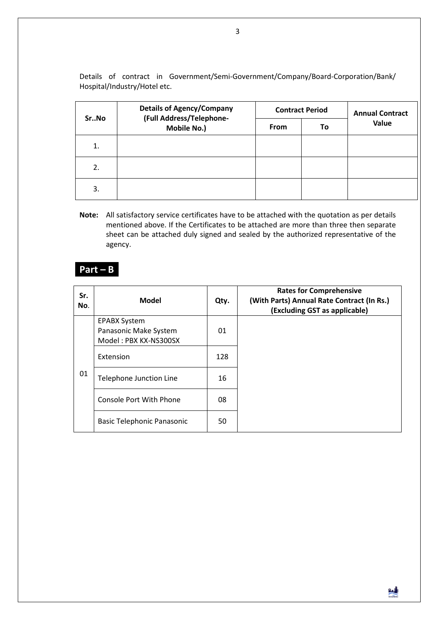Details of contract in Government/Semi-Government/Company/Board-Corporation/Bank/ Hospital/Industry/Hotel etc.

| SrNo             | <b>Details of Agency/Company</b><br>(Full Address/Telephone-<br>Mobile No.) | <b>Contract Period</b> |    | <b>Annual Contract</b> |
|------------------|-----------------------------------------------------------------------------|------------------------|----|------------------------|
|                  |                                                                             | <b>From</b>            | To | Value                  |
| 1.               |                                                                             |                        |    |                        |
| $\overline{2}$ . |                                                                             |                        |    |                        |
| 3.               |                                                                             |                        |    |                        |

**Note:** All satisfactory service certificates have to be attached with the quotation as per details mentioned above. If the Certificates to be attached are more than three then separate sheet can be attached duly signed and sealed by the authorized representative of the agency.

### **Part – B**

| Sr.<br>No. | <b>Model</b>                                                          | Qty. | <b>Rates for Comprehensive</b><br>(With Parts) Annual Rate Contract (In Rs.)<br>(Excluding GST as applicable) |
|------------|-----------------------------------------------------------------------|------|---------------------------------------------------------------------------------------------------------------|
| 01         | <b>EPABX System</b><br>Panasonic Make System<br>Model: PBX KX-NS300SX | 01   |                                                                                                               |
|            | Extension                                                             | 128  |                                                                                                               |
|            | Telephone Junction Line                                               | 16   |                                                                                                               |
|            | Console Port With Phone                                               | 08   |                                                                                                               |
|            | Basic Telephonic Panasonic                                            | 50   |                                                                                                               |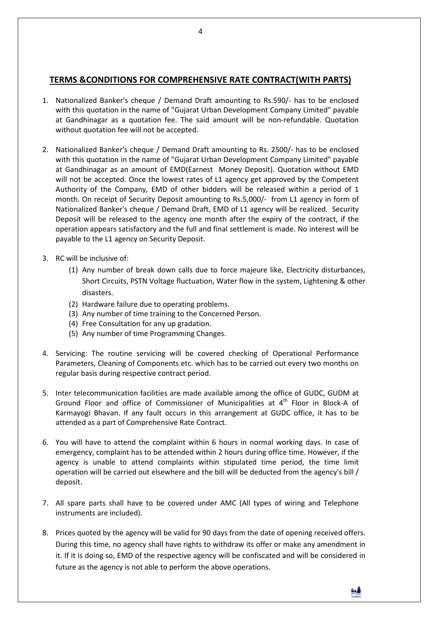#### **TERMS &CONDITIONS FOR COMPREHENSIVE RATE CONTRACT(WITH PARTS)**

- 1. Nationalized Banker's cheque / Demand Draft amounting to Rs.590/- has to be enclosed with this quotation in the name of "Gujarat Urban Development Company Limited" payable at Gandhinagar as a quotation fee. The said amount will be non-refundable. Quotation without quotation fee will not be accepted.
- 2. Nationalized Banker's cheque / Demand Draft amounting to Rs. 2500/- has to be enclosed with this quotation in the name of "Gujarat Urban Development Company Limited" payable at Gandhinagar as an amount of EMD(Earnest Money Deposit). Quotation without EMD will not be accepted. Once the lowest rates of L1 agency get approved by the Competent Authority of the Company, EMD of other bidders will be released within a period of 1 month. On receipt of Security Deposit amounting to Rs.5,000/- from L1 agency in form of Nationalized Banker's cheque / Demand Draft, EMD of L1 agency will be realized. Security Deposit will be released to the agency one month after the expiry of the contract, if the operation appears satisfactory and the full and final settlement is made. No interest will be payable to the L1 agency on Security Deposit.
- 3. RC will be inclusive of:
	- (1) Any number of break down calls due to force majeure like, Electricity disturbances, Short Circuits, PSTN Voltage fluctuation, Water flow in the system, Lightening & other disasters.
	- (2) Hardware failure due to operating problems.
	- (3) Any number of time training to the Concerned Person.
	- (4) Free Consultation for any up gradation.
	- (5) Any number of time Programming Changes.
- 4. Servicing: The routine servicing will be covered checking of Operational Performance Parameters, Cleaning of Components etc. which has to be carried out every two months on regular basis during respective contract period.
- 5. Inter telecommunication facilities are made available among the office of GUDC, GUDM at Ground Floor and office of Commissioner of Municipalities at 4<sup>th</sup> Floor in Block-A of Karmayogi Bhavan. If any fault occurs in this arrangement at GUDC office, it has to be attended as a part of Comprehensive Rate Contract.
- 6. You will have to attend the complaint within 6 hours in normal working days. In case of emergency, complaint has to be attended within 2 hours during office time. However, if the agency is unable to attend complaints within stipulated time period, the time limit operation will be carried out elsewhere and the bill will be deducted from the agency's bill / deposit.
- 7. All spare parts shall have to be covered under AMC (All types of wiring and Telephone instruments are included).
- 8. Prices quoted by the agency will be valid for 90 days from the date of opening received offers. During this time, no agency shall have rights to withdraw its offer or make any amendment in it. If it is doing so, EMD of the respective agency will be confiscated and will be considered in future as the agency is not able to perform the above operations.

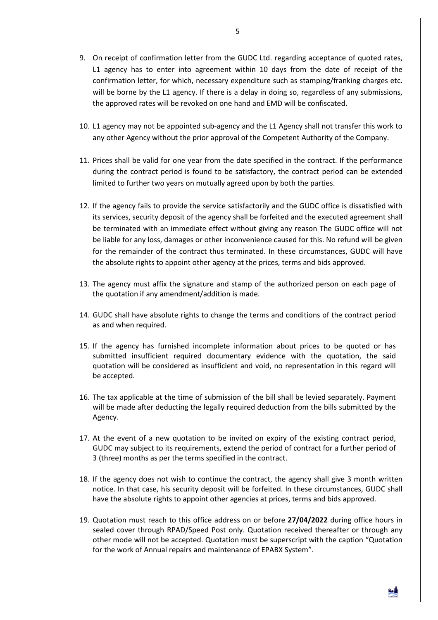- 9. On receipt of confirmation letter from the GUDC Ltd. regarding acceptance of quoted rates, L1 agency has to enter into agreement within 10 days from the date of receipt of the confirmation letter, for which, necessary expenditure such as stamping/franking charges etc. will be borne by the L1 agency. If there is a delay in doing so, regardless of any submissions, the approved rates will be revoked on one hand and EMD will be confiscated.
- 10. L1 agency may not be appointed sub-agency and the L1 Agency shall not transfer this work to any other Agency without the prior approval of the Competent Authority of the Company.
- 11. Prices shall be valid for one year from the date specified in the contract. If the performance during the contract period is found to be satisfactory, the contract period can be extended limited to further two years on mutually agreed upon by both the parties.
- 12. If the agency fails to provide the service satisfactorily and the GUDC office is dissatisfied with its services, security deposit of the agency shall be forfeited and the executed agreement shall be terminated with an immediate effect without giving any reason The GUDC office will not be liable for any loss, damages or other inconvenience caused for this. No refund will be given for the remainder of the contract thus terminated. In these circumstances, GUDC will have the absolute rights to appoint other agency at the prices, terms and bids approved.
- 13. The agency must affix the signature and stamp of the authorized person on each page of the quotation if any amendment/addition is made.
- 14. GUDC shall have absolute rights to change the terms and conditions of the contract period as and when required.
- 15. If the agency has furnished incomplete information about prices to be quoted or has submitted insufficient required documentary evidence with the quotation, the said quotation will be considered as insufficient and void, no representation in this regard will be accepted.
- 16. The tax applicable at the time of submission of the bill shall be levied separately. Payment will be made after deducting the legally required deduction from the bills submitted by the Agency.
- 17. At the event of a new quotation to be invited on expiry of the existing contract period, GUDC may subject to its requirements, extend the period of contract for a further period of 3 (three) months as per the terms specified in the contract.
- 18. If the agency does not wish to continue the contract, the agency shall give 3 month written notice. In that case, his security deposit will be forfeited. In these circumstances, GUDC shall have the absolute rights to appoint other agencies at prices, terms and bids approved.
- 19. Quotation must reach to this office address on or before **27/04/2022** during office hours in sealed cover through RPAD/Speed Post only. Quotation received thereafter or through any other mode will not be accepted. Quotation must be superscript with the caption "Quotation for the work of Annual repairs and maintenance of EPABX System".

鼬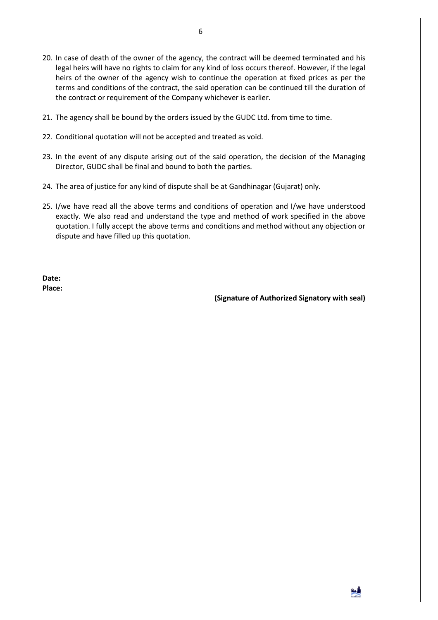- 20. In case of death of the owner of the agency, the contract will be deemed terminated and his legal heirs will have no rights to claim for any kind of loss occurs thereof. However, if the legal heirs of the owner of the agency wish to continue the operation at fixed prices as per the terms and conditions of the contract, the said operation can be continued till the duration of the contract or requirement of the Company whichever is earlier.
- 21. The agency shall be bound by the orders issued by the GUDC Ltd. from time to time.
- 22. Conditional quotation will not be accepted and treated as void.
- 23. In the event of any dispute arising out of the said operation, the decision of the Managing Director, GUDC shall be final and bound to both the parties.
- 24. The area of justice for any kind of dispute shall be at Gandhinagar (Gujarat) only.
- 25. I/we have read all the above terms and conditions of operation and I/we have understood exactly. We also read and understand the type and method of work specified in the above quotation. I fully accept the above terms and conditions and method without any objection or dispute and have filled up this quotation.

**Date: Place:** 

**(Signature of Authorized Signatory with seal)**